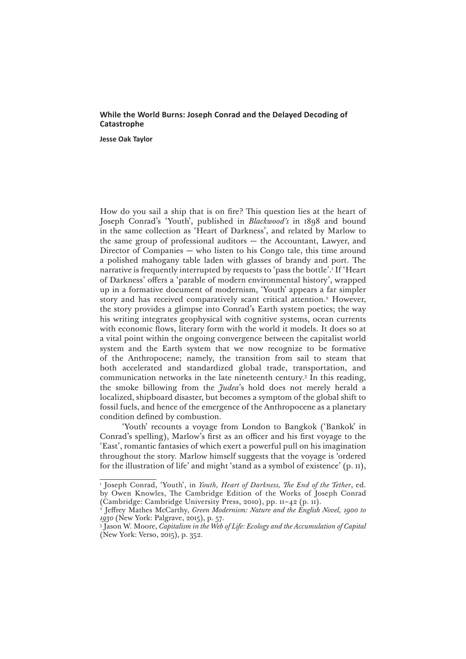## **While the World Burns: Joseph Conrad and the Delayed Decoding of Catastrophe**

**Jesse Oak Taylor**

How do you sail a ship that is on fire? This question lies at the heart of Joseph Conrad's 'Youth', published in *Blackwood's* in 1898 and bound in the same collection as 'Heart of Darkness', and related by Marlow to the same group of professional auditors — the Accountant, Lawyer, and Director of Companies — who listen to his Congo tale, this time around a polished mahogany table laden with glasses of brandy and port. The narrative is frequently interrupted by requests to 'pass the bottle'.1 If 'Heart of Darkness' offers a 'parable of modern environmental history', wrapped up in a formative document of modernism, 'Youth' appears a far simpler story and has received comparatively scant critical attention.<sup>2</sup> However, the story provides a glimpse into Conrad's Earth system poetics; the way his writing integrates geophysical with cognitive systems, ocean currents with economic flows, literary form with the world it models. It does so at a vital point within the ongoing convergence between the capitalist world system and the Earth system that we now recognize to be formative of the Anthropocene; namely, the transition from sail to steam that both accelerated and standardized global trade, transportation, and communication networks in the late nineteenth century.3 In this reading, the smoke billowing from the *Judea*'s hold does not merely herald a localized, shipboard disaster, but becomes a symptom of the global shift to fossil fuels, and hence of the emergence of the Anthropocene as a planetary condition defined by combustion.

'Youth' recounts a voyage from London to Bangkok ('Bankok' in Conrad's spelling), Marlow's first as an officer and his first voyage to the 'East', romantic fantasies of which exert a powerful pull on his imagination throughout the story. Marlow himself suggests that the voyage is 'ordered for the illustration of life' and might 'stand as a symbol of existence' (p. 11),

<sup>1</sup> Joseph Conrad, 'Youth', in *Youth, Heart of Darkness, The End of the Tether*, ed. by Owen Knowles, The Cambridge Edition of the Works of Joseph Conrad (Cambridge: Cambridge University Press, 2010), pp. 11–42 (p. 11).

<sup>2</sup> Jeffrey Mathes McCarthy, *Green Modernism: Nature and the English Novel, 1900 to 1930* (New York: Palgrave, 2015), p. 57.

<sup>3</sup> Jason W. Moore, *Capitalism in the Web of Life: Ecology and the Accumulation of Capital*  (New York: Verso, 2015), p. 352.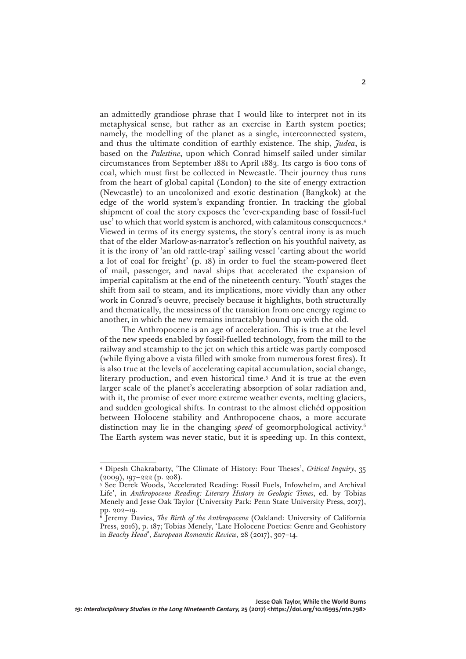an admittedly grandiose phrase that I would like to interpret not in its metaphysical sense, but rather as an exercise in Earth system poetics; namely, the modelling of the planet as a single, interconnected system, and thus the ultimate condition of earthly existence. The ship, *Judea*, is based on the *Palestine*, upon which Conrad himself sailed under similar circumstances from September 1881 to April 1883. Its cargo is 600 tons of coal, which must first be collected in Newcastle. Their journey thus runs from the heart of global capital (London) to the site of energy extraction (Newcastle) to an uncolonized and exotic destination (Bangkok) at the edge of the world system's expanding frontier. In tracking the global shipment of coal the story exposes the 'ever-expanding base of fossil-fuel use' to which that world system is anchored, with calamitous consequences.4 Viewed in terms of its energy systems, the story's central irony is as much that of the elder Marlow-as-narrator's reflection on his youthful naivety, as it is the irony of 'an old rattle-trap' sailing vessel 'carting about the world a lot of coal for freight' (p. 18) in order to fuel the steam-powered fleet of mail, passenger, and naval ships that accelerated the expansion of imperial capitalism at the end of the nineteenth century. 'Youth' stages the shift from sail to steam, and its implications, more vividly than any other work in Conrad's oeuvre, precisely because it highlights, both structurally and thematically, the messiness of the transition from one energy regime to another, in which the new remains intractably bound up with the old.

The Anthropocene is an age of acceleration. This is true at the level of the new speeds enabled by fossil-fuelled technology, from the mill to the railway and steamship to the jet on which this article was partly composed (while flying above a vista filled with smoke from numerous forest fires). It is also true at the levels of accelerating capital accumulation, social change, literary production, and even historical time.5 And it is true at the even larger scale of the planet's accelerating absorption of solar radiation and, with it, the promise of ever more extreme weather events, melting glaciers, and sudden geological shifts. In contrast to the almost clichéd opposition between Holocene stability and Anthropocene chaos, a more accurate distinction may lie in the changing *speed* of geomorphological activity.6 The Earth system was never static, but it is speeding up. In this context,

<sup>4</sup> Dipesh Chakrabarty, 'The Climate of History: Four Theses', *Critical Inquiry*, 35  $(2009)$ , 197–222 (p. 208).

<sup>5</sup> See Derek Woods, 'Accelerated Reading: Fossil Fuels, Infowhelm, and Archival Life', in *Anthropocene Reading: Literary History in Geologic Times*, ed. by Tobias Menely and Jesse Oak Taylor (University Park: Penn State University Press, 2017), pp. 202–19.

<sup>6</sup> Jeremy Davies, *The Birth of the Anthropocene* (Oakland: University of California Press, 2016), p. 187; Tobias Menely, 'Late Holocene Poetics: Genre and Geohistory in *Beachy Head*', *European Romantic Review*, 28 (2017), 307–14.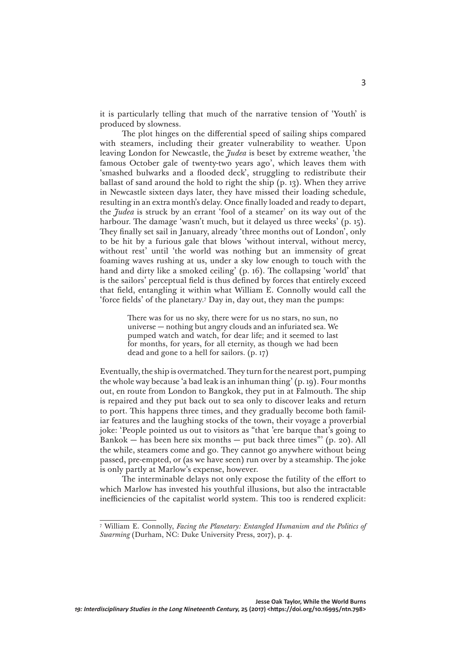it is particularly telling that much of the narrative tension of 'Youth' is produced by slowness.

The plot hinges on the differential speed of sailing ships compared with steamers, including their greater vulnerability to weather. Upon leaving London for Newcastle, the *Judea* is beset by extreme weather, 'the famous October gale of twenty-two years ago', which leaves them with 'smashed bulwarks and a flooded deck', struggling to redistribute their ballast of sand around the hold to right the ship (p. 13). When they arrive in Newcastle sixteen days later, they have missed their loading schedule, resulting in an extra month's delay. Once finally loaded and ready to depart, the *Judea* is struck by an errant 'fool of a steamer' on its way out of the harbour. The damage 'wasn't much, but it delayed us three weeks' (p. 15). They finally set sail in January, already 'three months out of London', only to be hit by a furious gale that blows 'without interval, without mercy, without rest' until 'the world was nothing but an immensity of great foaming waves rushing at us, under a sky low enough to touch with the hand and dirty like a smoked ceiling' (p. 16). The collapsing 'world' that is the sailors' perceptual field is thus defined by forces that entirely exceed that field, entangling it within what William E. Connolly would call the 'force fields' of the planetary.7 Day in, day out, they man the pumps:

> There was for us no sky, there were for us no stars, no sun, no universe — nothing but angry clouds and an infuriated sea. We pumped watch and watch, for dear life; and it seemed to last for months, for years, for all eternity, as though we had been dead and gone to a hell for sailors. (p. 17)

Eventually, the ship is overmatched. They turn for the nearest port, pumping the whole way because 'a bad leak is an inhuman thing' (p. 19). Four months out, en route from London to Bangkok, they put in at Falmouth. The ship is repaired and they put back out to sea only to discover leaks and return to port. This happens three times, and they gradually become both familiar features and the laughing stocks of the town, their voyage a proverbial joke: 'People pointed us out to visitors as "that 'ere barque that's going to Bankok — has been here six months — put back three times"' (p. 20). All the while, steamers come and go. They cannot go anywhere without being passed, pre-empted, or (as we have seen) run over by a steamship. The joke is only partly at Marlow's expense, however.

The interminable delays not only expose the futility of the effort to which Marlow has invested his youthful illusions, but also the intractable inefficiencies of the capitalist world system. This too is rendered explicit:

<sup>7</sup> William E. Connolly, *Facing the Planetary: Entangled Humanism and the Politics of Swarming* (Durham, NC: Duke University Press, 2017), p. 4.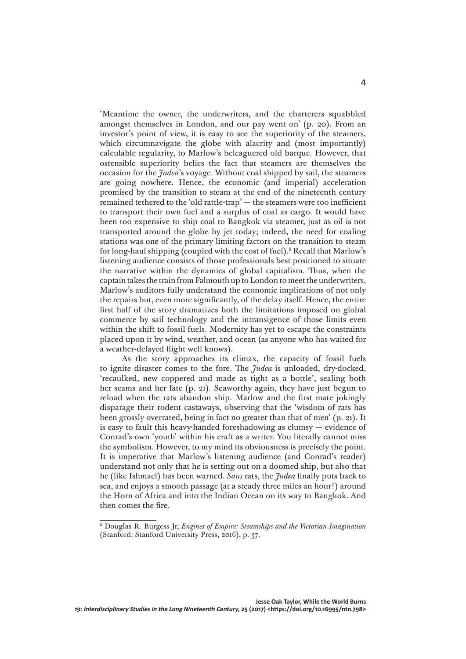'Meantime the owner, the underwriters, and the charterers squabbled amongst themselves in London, and our pay went on' (p. 20). From an investor's point of view, it is easy to see the superiority of the steamers, which circumnavigate the globe with alacrity and (most importantly) calculable regularity, to Marlow's beleaguered old barque. However, that ostensible superiority belies the fact that steamers are themselves the occasion for the *Judea*'s voyage. Without coal shipped by sail, the steamers are going nowhere. Hence, the economic (and imperial) acceleration promised by the transition to steam at the end of the nineteenth century remained tethered to the 'old rattle-trap' — the steamers were too inefficient to transport their own fuel and a surplus of coal as cargo. It would have been too expensive to ship coal to Bangkok via steamer, just as oil is not transported around the globe by jet today; indeed, the need for coaling stations was one of the primary limiting factors on the transition to steam for long-haul shipping (coupled with the cost of fuel).8 Recall that Marlow's listening audience consists of those professionals best positioned to situate the narrative within the dynamics of global capitalism. Thus, when the captain takes the train from Falmouth up to London to meet the underwriters, Marlow's auditors fully understand the economic implications of not only the repairs but, even more significantly, of the delay itself. Hence, the entire first half of the story dramatizes both the limitations imposed on global commerce by sail technology and the intransigence of those limits even within the shift to fossil fuels. Modernity has yet to escape the constraints placed upon it by wind, weather, and ocean (as anyone who has waited for a weather-delayed flight well knows).

As the story approaches its climax, the capacity of fossil fuels to ignite disaster comes to the fore. The *Judea* is unloaded, dry-docked, 'recaulked, new coppered and made as tight as a bottle', sealing both her seams and her fate (p. 21). Seaworthy again, they have just begun to reload when the rats abandon ship. Marlow and the first mate jokingly disparage their rodent castaways, observing that the 'wisdom of rats has been grossly overrated, being in fact no greater than that of men' (p. 21). It is easy to fault this heavy-handed foreshadowing as clumsy — evidence of Conrad's own 'youth' within his craft as a writer. You literally cannot miss the symbolism. However, to my mind its obviousness is precisely the point. It is imperative that Marlow's listening audience (and Conrad's reader) understand not only that he is setting out on a doomed ship, but also that he (like Ishmael) has been warned. *Sans* rats, the *Judea* finally puts back to sea, and enjoys a smooth passage (at a steady three miles an hour!) around the Horn of Africa and into the Indian Ocean on its way to Bangkok. And then comes the fire.

<sup>8</sup> Douglas R. Burgess Jr, *Engines of Empire: Steamships and the Victorian Imagination*  (Stanford: Stanford University Press, 2016), p. 37.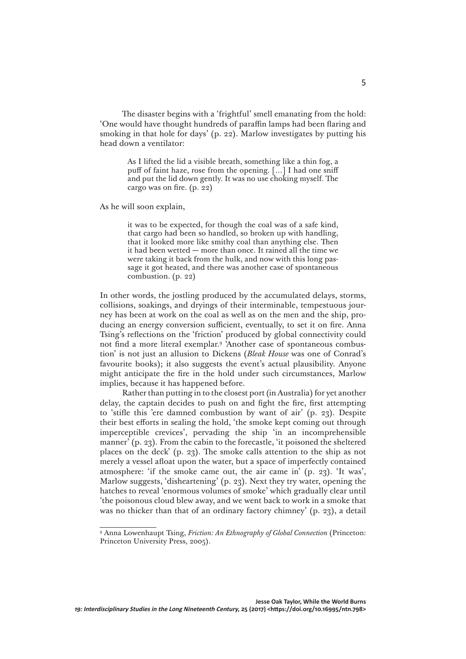The disaster begins with a 'frightful' smell emanating from the hold: 'One would have thought hundreds of paraffin lamps had been flaring and smoking in that hole for days' (p. 22). Marlow investigates by putting his head down a ventilator:

> As I lifted the lid a visible breath, something like a thin fog, a puff of faint haze, rose from the opening. […] I had one sniff and put the lid down gently. It was no use choking myself. The cargo was on fire. (p. 22)

As he will soon explain,

it was to be expected, for though the coal was of a safe kind, that cargo had been so handled, so broken up with handling, that it looked more like smithy coal than anything else. Then it had been wetted — more than once. It rained all the time we were taking it back from the hulk, and now with this long passage it got heated, and there was another case of spontaneous combustion. (p. 22)

In other words, the jostling produced by the accumulated delays, storms, collisions, soakings, and dryings of their interminable, tempestuous journey has been at work on the coal as well as on the men and the ship, producing an energy conversion sufficient, eventually, to set it on fire. Anna Tsing's reflections on the 'friction' produced by global connectivity could not find a more literal exemplar.9 'Another case of spontaneous combustion' is not just an allusion to Dickens (*Bleak House* was one of Conrad's favourite books); it also suggests the event's actual plausibility. Anyone might anticipate the fire in the hold under such circumstances, Marlow implies, because it has happened before.

Rather than putting in to the closest port (in Australia) for yet another delay, the captain decides to push on and fight the fire, first attempting to 'stifle this 'ere damned combustion by want of air' (p. 23). Despite their best efforts in sealing the hold, 'the smoke kept coming out through imperceptible crevices', pervading the ship 'in an incomprehensible manner' (p. 23). From the cabin to the forecastle, 'it poisoned the sheltered places on the deck' (p. 23). The smoke calls attention to the ship as not merely a vessel afloat upon the water, but a space of imperfectly contained atmosphere: 'if the smoke came out, the air came in' (p. 23). 'It was', Marlow suggests, 'disheartening' (p. 23). Next they try water, opening the hatches to reveal 'enormous volumes of smoke' which gradually clear until 'the poisonous cloud blew away, and we went back to work in a smoke that was no thicker than that of an ordinary factory chimney' (p. 23), a detail

<sup>9</sup> Anna Lowenhaupt Tsing, *Friction: An Ethnography of Global Connection* (Princeton: Princeton University Press, 2005).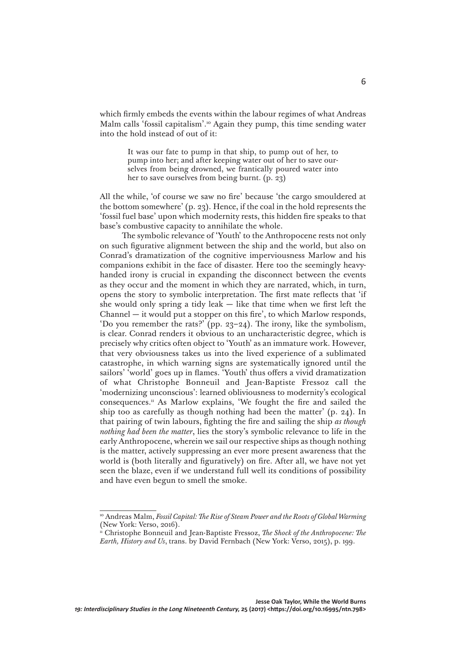which firmly embeds the events within the labour regimes of what Andreas Malm calls 'fossil capitalism'.<sup>10</sup> Again they pump, this time sending water into the hold instead of out of it:

> It was our fate to pump in that ship, to pump out of her, to pump into her; and after keeping water out of her to save ourselves from being drowned, we frantically poured water into her to save ourselves from being burnt. (p. 23)

All the while, 'of course we saw no fire' because 'the cargo smouldered at the bottom somewhere' (p. 23). Hence, if the coal in the hold represents the 'fossil fuel base' upon which modernity rests, this hidden fire speaks to that base's combustive capacity to annihilate the whole.

The symbolic relevance of 'Youth' to the Anthropocene rests not only on such figurative alignment between the ship and the world, but also on Conrad's dramatization of the cognitive imperviousness Marlow and his companions exhibit in the face of disaster. Here too the seemingly heavyhanded irony is crucial in expanding the disconnect between the events as they occur and the moment in which they are narrated, which, in turn, opens the story to symbolic interpretation. The first mate reflects that 'if she would only spring a tidy leak  $-$  like that time when we first left the Channel — it would put a stopper on this fire', to which Marlow responds, 'Do you remember the rats?' (pp. 23–24). The irony, like the symbolism, is clear. Conrad renders it obvious to an uncharacteristic degree, which is precisely why critics often object to 'Youth' as an immature work. However, that very obviousness takes us into the lived experience of a sublimated catastrophe, in which warning signs are systematically ignored until the sailors' 'world' goes up in flames. 'Youth' thus offers a vivid dramatization of what Christophe Bonneuil and Jean-Baptiste Fressoz call the 'modernizing unconscious': learned obliviousness to modernity's ecological consequences.11 As Marlow explains, 'We fought the fire and sailed the ship too as carefully as though nothing had been the matter' (p. 24). In that pairing of twin labours, fighting the fire and sailing the ship *as though nothing had been the matter*, lies the story's symbolic relevance to life in the early Anthropocene, wherein we sail our respective ships as though nothing is the matter, actively suppressing an ever more present awareness that the world is (both literally and figuratively) on fire. After all, we have not yet seen the blaze, even if we understand full well its conditions of possibility and have even begun to smell the smoke.

<sup>&</sup>lt;sup>10</sup> Andreas Malm, *Fossil Capital: The Rise of Steam Power and the Roots of Global Warming* (New York: Verso, 2016).

<sup>11</sup> Christophe Bonneuil and Jean-Baptiste Fressoz, *The Shock of the Anthropocene: The Earth, History and Us*, trans. by David Fernbach (New York: Verso, 2015), p. 199.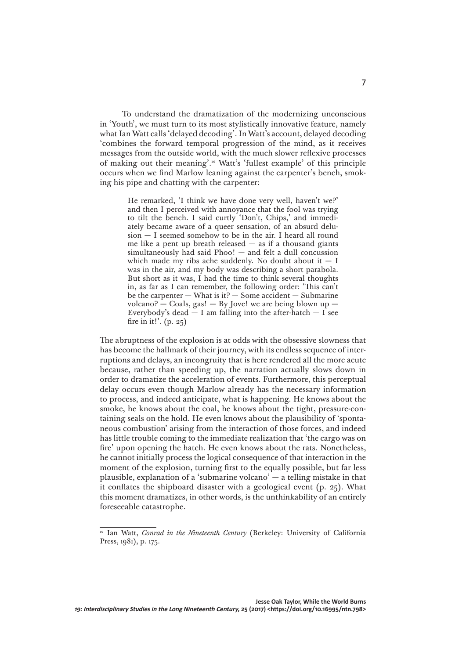To understand the dramatization of the modernizing unconscious in 'Youth', we must turn to its most stylistically innovative feature, namely what Ian Watt calls 'delayed decoding'. In Watt's account, delayed decoding 'combines the forward temporal progression of the mind, as it receives messages from the outside world, with the much slower reflexive processes of making out their meaning'.12 Watt's 'fullest example' of this principle occurs when we find Marlow leaning against the carpenter's bench, smoking his pipe and chatting with the carpenter:

> He remarked, 'I think we have done very well, haven't we?' and then I perceived with annoyance that the fool was trying to tilt the bench. I said curtly 'Don't, Chips,' and immediately became aware of a queer sensation, of an absurd delusion — I seemed somehow to be in the air. I heard all round me like a pent up breath released  $-$  as if a thousand giants simultaneously had said Phoo! — and felt a dull concussion which made my ribs ache suddenly. No doubt about it  $- I$ was in the air, and my body was describing a short parabola. But short as it was, I had the time to think several thoughts in, as far as I can remember, the following order: 'This can't be the carpenter  $-$  What is it?  $-$  Some accident  $-$  Submarine volcano?  $-$  Coals, gas!  $-$  By Jove! we are being blown up  $-$ Everybody's dead  $-$  I am falling into the after-hatch  $-$  I see fire in it!'.  $(p. 25)$

The abruptness of the explosion is at odds with the obsessive slowness that has become the hallmark of their journey, with its endless sequence of interruptions and delays, an incongruity that is here rendered all the more acute because, rather than speeding up, the narration actually slows down in order to dramatize the acceleration of events. Furthermore, this perceptual delay occurs even though Marlow already has the necessary information to process, and indeed anticipate, what is happening. He knows about the smoke, he knows about the coal, he knows about the tight, pressure-containing seals on the hold. He even knows about the plausibility of 'spontaneous combustion' arising from the interaction of those forces, and indeed has little trouble coming to the immediate realization that 'the cargo was on fire' upon opening the hatch. He even knows about the rats. Nonetheless, he cannot initially process the logical consequence of that interaction in the moment of the explosion, turning first to the equally possible, but far less plausible, explanation of a 'submarine volcano' — a telling mistake in that it conflates the shipboard disaster with a geological event (p. 25). What this moment dramatizes, in other words, is the unthinkability of an entirely foreseeable catastrophe.

<sup>&</sup>lt;sup>12</sup> Ian Watt, *Conrad in the Nineteenth Century* (Berkeley: University of California Press, 1981), p. 175.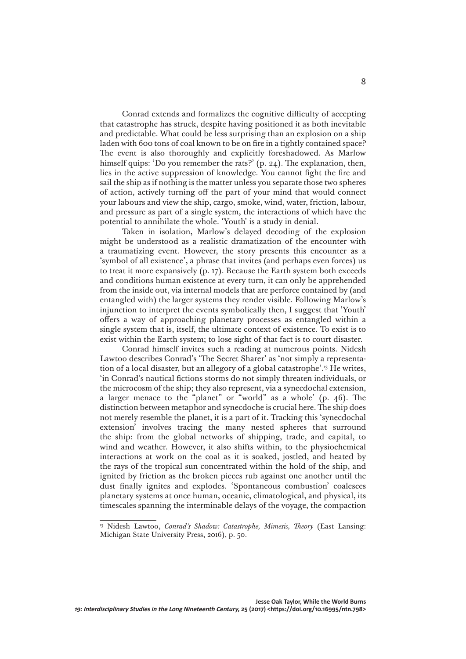Conrad extends and formalizes the cognitive difficulty of accepting that catastrophe has struck, despite having positioned it as both inevitable and predictable. What could be less surprising than an explosion on a ship laden with 600 tons of coal known to be on fire in a tightly contained space? The event is also thoroughly and explicitly foreshadowed. As Marlow himself quips: 'Do you remember the rats?' (p. 24). The explanation, then, lies in the active suppression of knowledge. You cannot fight the fire and sail the ship as if nothing is the matter unless you separate those two spheres of action, actively turning off the part of your mind that would connect your labours and view the ship, cargo, smoke, wind, water, friction, labour, and pressure as part of a single system, the interactions of which have the potential to annihilate the whole. 'Youth' is a study in denial.

Taken in isolation, Marlow's delayed decoding of the explosion might be understood as a realistic dramatization of the encounter with a traumatizing event. However, the story presents this encounter as a 'symbol of all existence', a phrase that invites (and perhaps even forces) us to treat it more expansively (p. 17). Because the Earth system both exceeds and conditions human existence at every turn, it can only be apprehended from the inside out, via internal models that are perforce contained by (and entangled with) the larger systems they render visible. Following Marlow's injunction to interpret the events symbolically then, I suggest that 'Youth' offers a way of approaching planetary processes as entangled within a single system that is, itself, the ultimate context of existence. To exist is to exist within the Earth system; to lose sight of that fact is to court disaster.

Conrad himself invites such a reading at numerous points. Nidesh Lawtoo describes Conrad's 'The Secret Sharer' as 'not simply a representation of a local disaster, but an allegory of a global catastrophe'.13 He writes, 'in Conrad's nautical fictions storms do not simply threaten individuals, or the microcosm of the ship; they also represent, via a synecdochal extension, a larger menace to the "planet" or "world" as a whole' (p. 46). The distinction between metaphor and synecdoche is crucial here. The ship does not merely resemble the planet, it is a part of it. Tracking this 'synecdochal extension' involves tracing the many nested spheres that surround the ship: from the global networks of shipping, trade, and capital, to wind and weather. However, it also shifts within, to the physiochemical interactions at work on the coal as it is soaked, jostled, and heated by the rays of the tropical sun concentrated within the hold of the ship, and ignited by friction as the broken pieces rub against one another until the dust finally ignites and explodes. 'Spontaneous combustion' coalesces planetary systems at once human, oceanic, climatological, and physical, its timescales spanning the interminable delays of the voyage, the compaction

<sup>&</sup>lt;sup>13</sup> Nidesh Lawtoo, *Conrad's Shadow: Catastrophe, Mimesis, Theory* (East Lansing: Michigan State University Press, 2016), p. 50.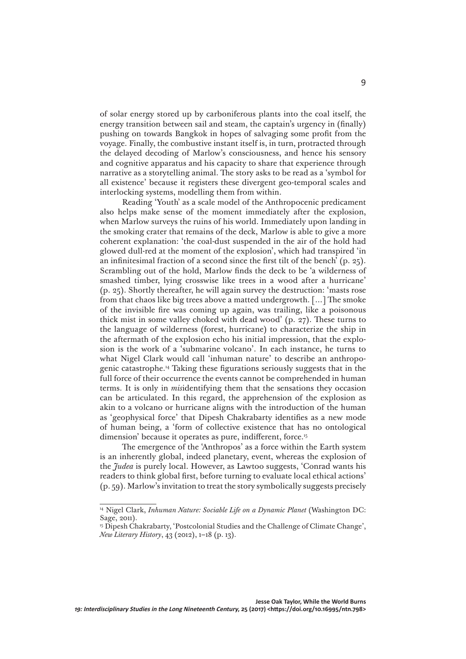of solar energy stored up by carboniferous plants into the coal itself, the energy transition between sail and steam, the captain's urgency in (finally) pushing on towards Bangkok in hopes of salvaging some profit from the voyage. Finally, the combustive instant itself is, in turn, protracted through the delayed decoding of Marlow's consciousness, and hence his sensory and cognitive apparatus and his capacity to share that experience through narrative as a storytelling animal. The story asks to be read as a 'symbol for all existence' because it registers these divergent geo-temporal scales and interlocking systems, modelling them from within.

Reading 'Youth' as a scale model of the Anthropocenic predicament also helps make sense of the moment immediately after the explosion, when Marlow surveys the ruins of his world. Immediately upon landing in the smoking crater that remains of the deck, Marlow is able to give a more coherent explanation: 'the coal-dust suspended in the air of the hold had glowed dull-red at the moment of the explosion', which had transpired 'in an infinitesimal fraction of a second since the first tilt of the bench' (p. 25). Scrambling out of the hold, Marlow finds the deck to be 'a wilderness of smashed timber, lying crosswise like trees in a wood after a hurricane' (p. 25). Shortly thereafter, he will again survey the destruction: 'masts rose from that chaos like big trees above a matted undergrowth. […] The smoke of the invisible fire was coming up again, was trailing, like a poisonous thick mist in some valley choked with dead wood' (p. 27). These turns to the language of wilderness (forest, hurricane) to characterize the ship in the aftermath of the explosion echo his initial impression, that the explosion is the work of a 'submarine volcano'. In each instance, he turns to what Nigel Clark would call 'inhuman nature' to describe an anthropogenic catastrophe.14 Taking these figurations seriously suggests that in the full force of their occurrence the events cannot be comprehended in human terms. It is only in *mis*identifying them that the sensations they occasion can be articulated. In this regard, the apprehension of the explosion as akin to a volcano or hurricane aligns with the introduction of the human as 'geophysical force' that Dipesh Chakrabarty identifies as a new mode of human being, a 'form of collective existence that has no ontological dimension' because it operates as pure, indifferent, force.<sup>15</sup>

The emergence of the 'Anthropos' as a force within the Earth system is an inherently global, indeed planetary, event, whereas the explosion of the *Judea* is purely local. However, as Lawtoo suggests, 'Conrad wants his readers to think global first, before turning to evaluate local ethical actions' (p. 59). Marlow's invitation to treat the story symbolically suggests precisely

<sup>&</sup>lt;sup>14</sup> Nigel Clark, *Inhuman Nature: Sociable Life on a Dynamic Planet* (Washington DC: Sage, 2011).

<sup>&</sup>lt;sup>15</sup> Dipesh Chakrabarty, 'Postcolonial Studies and the Challenge of Climate Change', *New Literary History*, 43 (2012), 1–18 (p. 13).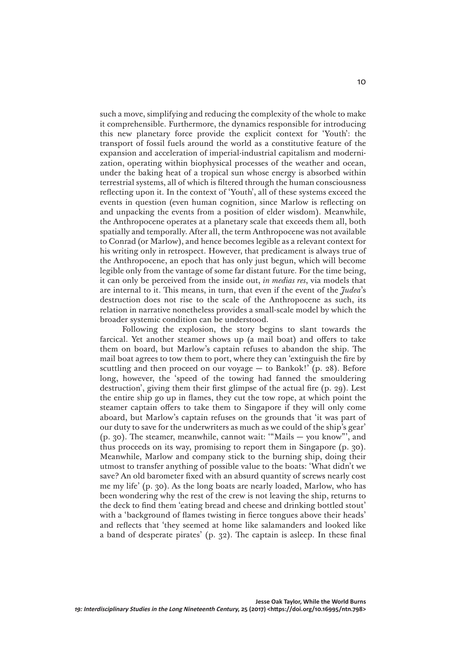such a move, simplifying and reducing the complexity of the whole to make it comprehensible. Furthermore, the dynamics responsible for introducing this new planetary force provide the explicit context for 'Youth': the transport of fossil fuels around the world as a constitutive feature of the expansion and acceleration of imperial-industrial capitalism and modernization, operating within biophysical processes of the weather and ocean, under the baking heat of a tropical sun whose energy is absorbed within terrestrial systems, all of which is filtered through the human consciousness reflecting upon it. In the context of 'Youth', all of these systems exceed the events in question (even human cognition, since Marlow is reflecting on and unpacking the events from a position of elder wisdom). Meanwhile, the Anthropocene operates at a planetary scale that exceeds them all, both spatially and temporally. After all, the term Anthropocene was not available to Conrad (or Marlow), and hence becomes legible as a relevant context for his writing only in retrospect. However, that predicament is always true of the Anthropocene, an epoch that has only just begun, which will become legible only from the vantage of some far distant future. For the time being, it can only be perceived from the inside out, *in medias res*, via models that are internal to it. This means, in turn, that even if the event of the *Judea*'s destruction does not rise to the scale of the Anthropocene as such, its relation in narrative nonetheless provides a small-scale model by which the broader systemic condition can be understood.

Following the explosion, the story begins to slant towards the farcical. Yet another steamer shows up (a mail boat) and offers to take them on board, but Marlow's captain refuses to abandon the ship. The mail boat agrees to tow them to port, where they can 'extinguish the fire by scuttling and then proceed on our voyage  $-$  to Bankok!' (p. 28). Before long, however, the 'speed of the towing had fanned the smouldering destruction', giving them their first glimpse of the actual fire (p. 29). Lest the entire ship go up in flames, they cut the tow rope, at which point the steamer captain offers to take them to Singapore if they will only come aboard, but Marlow's captain refuses on the grounds that 'it was part of our duty to save for the underwriters as much as we could of the ship's gear' (p. 30). The steamer, meanwhile, cannot wait: '"Mails — you know"', and thus proceeds on its way, promising to report them in Singapore (p. 30). Meanwhile, Marlow and company stick to the burning ship, doing their utmost to transfer anything of possible value to the boats: 'What didn't we save? An old barometer fixed with an absurd quantity of screws nearly cost me my life' (p. 30). As the long boats are nearly loaded, Marlow, who has been wondering why the rest of the crew is not leaving the ship, returns to the deck to find them 'eating bread and cheese and drinking bottled stout' with a 'background of flames twisting in fierce tongues above their heads' and reflects that 'they seemed at home like salamanders and looked like a band of desperate pirates' (p. 32). The captain is asleep. In these final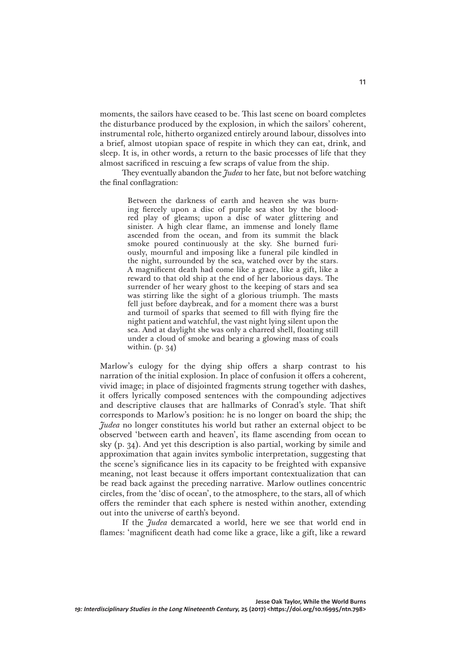moments, the sailors have ceased to be. This last scene on board completes the disturbance produced by the explosion, in which the sailors' coherent, instrumental role, hitherto organized entirely around labour, dissolves into a brief, almost utopian space of respite in which they can eat, drink, and sleep. It is, in other words, a return to the basic processes of life that they almost sacrificed in rescuing a few scraps of value from the ship.

They eventually abandon the *Judea* to her fate, but not before watching the final conflagration:

> Between the darkness of earth and heaven she was burning fiercely upon a disc of purple sea shot by the bloodred play of gleams; upon a disc of water glittering and sinister. A high clear flame, an immense and lonely flame ascended from the ocean, and from its summit the black smoke poured continuously at the sky. She burned furiously, mournful and imposing like a funeral pile kindled in the night, surrounded by the sea, watched over by the stars. A magnificent death had come like a grace, like a gift, like a reward to that old ship at the end of her laborious days. The surrender of her weary ghost to the keeping of stars and sea was stirring like the sight of a glorious triumph. The masts fell just before daybreak, and for a moment there was a burst and turmoil of sparks that seemed to fill with flying fire the night patient and watchful, the vast night lying silent upon the sea. And at daylight she was only a charred shell, floating still under a cloud of smoke and bearing a glowing mass of coals within. (p. 34)

Marlow's eulogy for the dying ship offers a sharp contrast to his narration of the initial explosion. In place of confusion it offers a coherent, vivid image; in place of disjointed fragments strung together with dashes, it offers lyrically composed sentences with the compounding adjectives and descriptive clauses that are hallmarks of Conrad's style. That shift corresponds to Marlow's position: he is no longer on board the ship; the *Judea* no longer constitutes his world but rather an external object to be observed 'between earth and heaven', its flame ascending from ocean to sky (p. 34). And yet this description is also partial, working by simile and approximation that again invites symbolic interpretation, suggesting that the scene's significance lies in its capacity to be freighted with expansive meaning, not least because it offers important contextualization that can be read back against the preceding narrative. Marlow outlines concentric circles, from the 'disc of ocean', to the atmosphere, to the stars, all of which offers the reminder that each sphere is nested within another, extending out into the universe of earth's beyond.

If the *Judea* demarcated a world, here we see that world end in flames: 'magnificent death had come like a grace, like a gift, like a reward